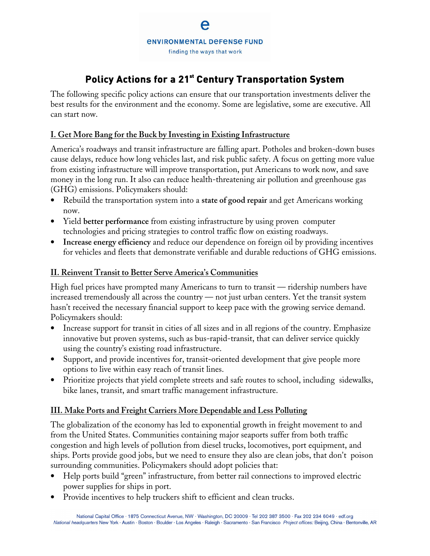# **Policy Actions for a 21 st Century Transportation System**

The following specific policy actions can ensure that our transportation investments deliver the best results for the environment and the economy. Some are legislative, some are executive. All can start now.

## **I. Get More Bang for the Buck by Investing in Existing Infrastructure**

America's roadways and transit infrastructure are falling apart. Potholes and broken-down buses cause delays, reduce how long vehicles last, and risk public safety. A focus on getting more value from existing infrastructure will improve transportation, put Americans to work now, and save money in the long run. It also can reduce health-threatening air pollution and greenhouse gas (GHG) emissions. Policymakers should:

- Rebuild the transportation system into a **state of good repair** and get Americans working now.
- Yield **better performance** from existing infrastructure by using proven computer technologies and pricing strategies to control traffic flow on existing roadways.
- **Increase energy efficiency** and reduce our dependence on foreign oil by providing incentives for vehicles and fleets that demonstrate verifiable and durable reductions of GHG emissions.

#### **II. Reinvent Transit to Better Serve America's Communities**

High fuel prices have prompted many Americans to turn to transit — ridership numbers have increased tremendously all across the country — not just urban centers. Yet the transit system hasn't received the necessary financial support to keep pace with the growing service demand. Policymakers should:

- Increase support for transit in cities of all sizes and in all regions of the country. Emphasize innovative but proven systems, such as bus-rapid-transit, that can deliver service quickly using the country's existing road infrastructure.
- Support, and provide incentives for, transit-oriented development that give people more options to live within easy reach of transit lines.
- Prioritize projects that yield complete streets and safe routes to school, including sidewalks, bike lanes, transit, and smart traffic management infrastructure.

## **III. Make Ports and Freight Carriers More Dependable and Less Polluting**

The globalization of the economy has led to exponential growth in freight movement to and from the United States. Communities containing major seaports suffer from both traffic congestion and high levels of pollution from diesel trucks, locomotives, port equipment, and ships. Ports provide good jobs, but we need to ensure they also are clean jobs, that don't poison surrounding communities. Policymakers should adopt policies that:

- Help ports build "green" infrastructure, from better rail connections to improved electric power supplies for ships in port.
- Provide incentives to help truckers shift to efficient and clean trucks.